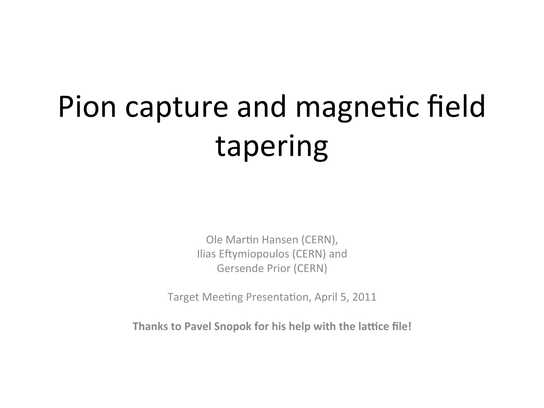# Pion capture and magnetic field tapering

Ole Martin Hansen (CERN), Ilias Eftymiopoulos (CERN) and **Gersende Prior (CERN)** 

Target Meeting Presentation, April 5, 2011

Thanks to Pavel Snopok for his help with the lattice file!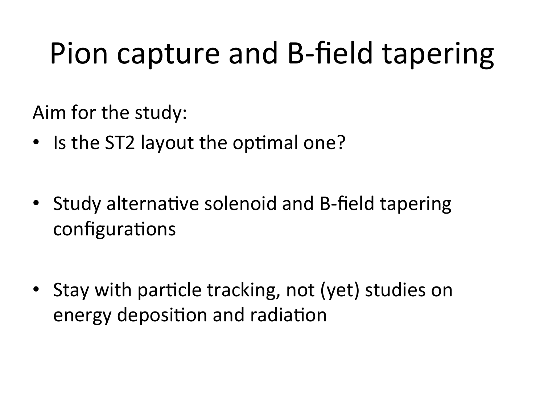## Pion capture and B-field tapering

Aim for the study:

- Is the ST2 layout the optimal one?
- Study alternative solenoid and B-field tapering configurations
- Stay with particle tracking, not (yet) studies on energy deposition and radiation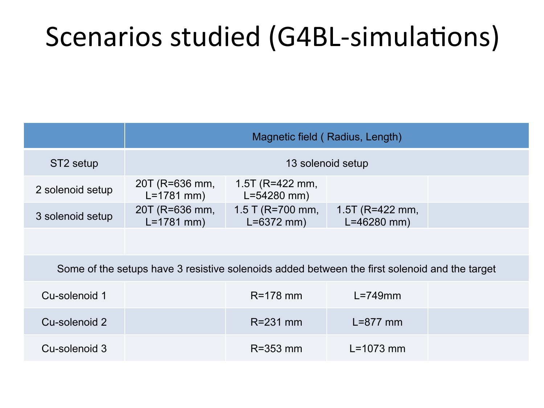#### Scenarios studied (G4BL-simulations)

|                                                                                               | Magnetic field (Radius, Length)  |                                         |                                         |  |  |
|-----------------------------------------------------------------------------------------------|----------------------------------|-----------------------------------------|-----------------------------------------|--|--|
| ST <sub>2</sub> setup                                                                         | 13 solenoid setup                |                                         |                                         |  |  |
| 2 solenoid setup                                                                              | 20T (R=636 mm,<br>$L = 1781$ mm) | 1.5T ( $R = 422$ mm,<br>$L = 54280$ mm) |                                         |  |  |
| 3 solenoid setup                                                                              | 20T (R=636 mm,<br>$L = 1781$ mm) | 1.5 T (R=700 mm,<br>$L = 6372$ mm)      | 1.5T ( $R = 422$ mm,<br>$L = 46280$ mm) |  |  |
|                                                                                               |                                  |                                         |                                         |  |  |
| Some of the setups have 3 resistive solenoids added between the first solenoid and the target |                                  |                                         |                                         |  |  |
| Cu-solenoid 1                                                                                 |                                  | $R = 178$ mm                            | $L = 749$ mm                            |  |  |
| Cu-solenoid 2                                                                                 |                                  | $R = 231$ mm                            | $L=877$ mm                              |  |  |
| Cu-solenoid 3                                                                                 |                                  | $R = 353$ mm                            | $L = 1073$ mm                           |  |  |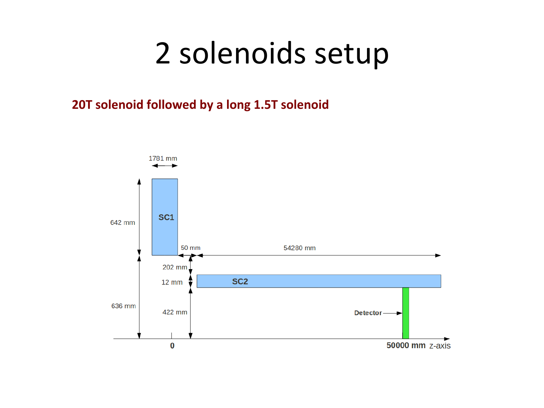#### 2 solenoids setup

#### 20T solenoid followed by a long 1.5T solenoid

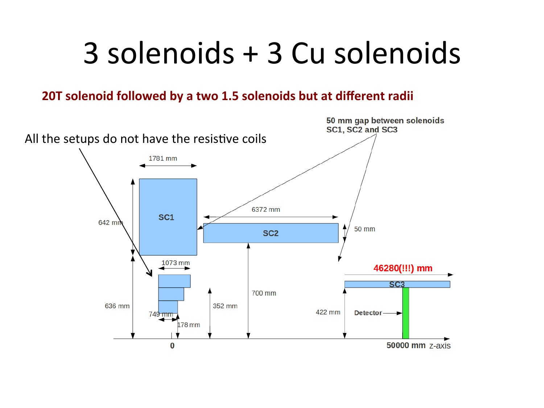### 3 solenoids + 3 Cu solenoids

#### 20T solenoid followed by a two 1.5 solenoids but at different radii

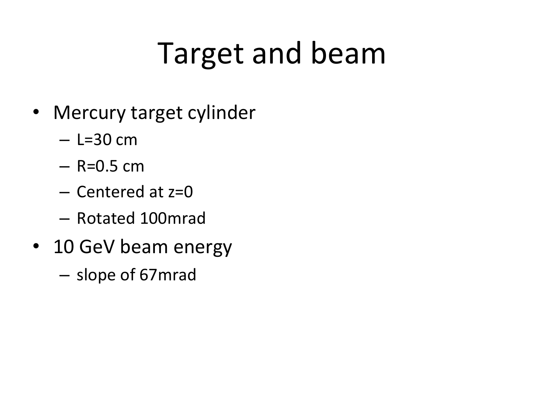## Target and beam

- Mercury target cylinder
	- $-$  L=30 cm
	- $-$  R=0.5 cm
	- $-$  Centered at  $z=0$
	- Rotated%100mrad%
- 10 GeV beam energy
	- $-$  slope of 67mrad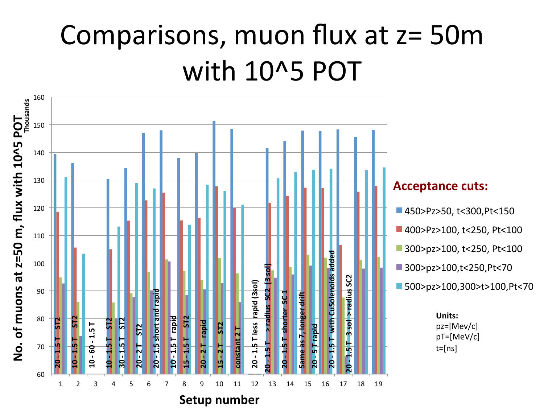#### Comparisons, muon flux at  $z=50m$ with 10^5 POT

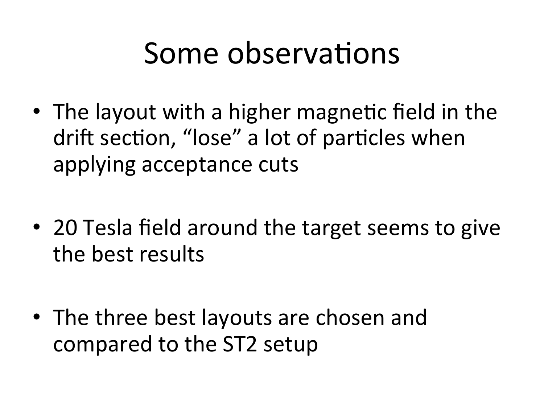#### Some observations

- The layout with a higher magnetic field in the drift section, "lose" a lot of particles when applying acceptance cuts
- 20 Tesla field around the target seems to give the best results
- The three best layouts are chosen and compared to the ST2 setup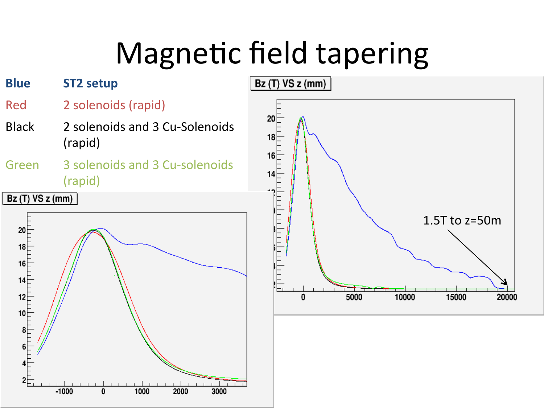## Magnetic field tapering

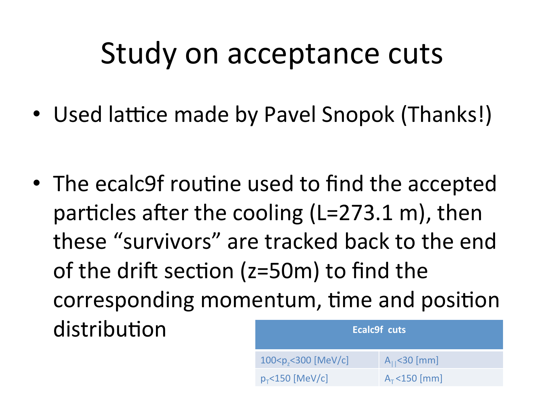#### Study on acceptance cuts

• Used lattice made by Pavel Snopok (Thanks!)

• The ecalc9f routine used to find the accepted particles after the cooling (L=273.1 m), then these "survivors" are tracked back to the end of the drift section ( $z=50$ m) to find the corresponding momentum, time and position distribution

| Ecalc9f cuts                        |                       |  |  |  |
|-------------------------------------|-----------------------|--|--|--|
| 100 <p<sub>-&lt;300 [MeV/c]</p<sub> | $A_{11}$ < 30 [mm]    |  |  |  |
| $p_{\tau}$ <150 [MeV/c]             | $A_{\tau}$ < 150 [mm] |  |  |  |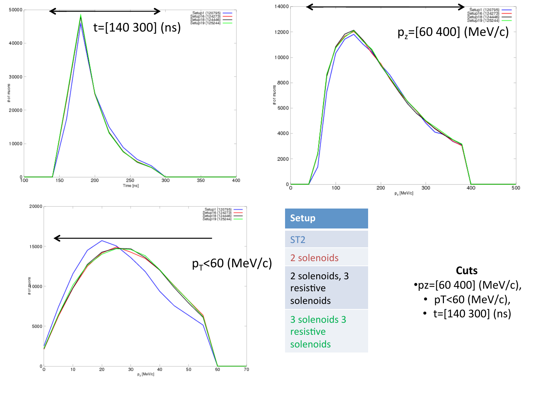



ST<sub>2</sub> 2 solenoids 2 solenoids, 3 resistive solenoids% 3 solenoids 3

resistive solenoids%

**Cuts'**  $•$ pz=[60 400] (MeV/c), •  $pT<60$  (MeV/c),

•  $t=[140 300]$  (ns)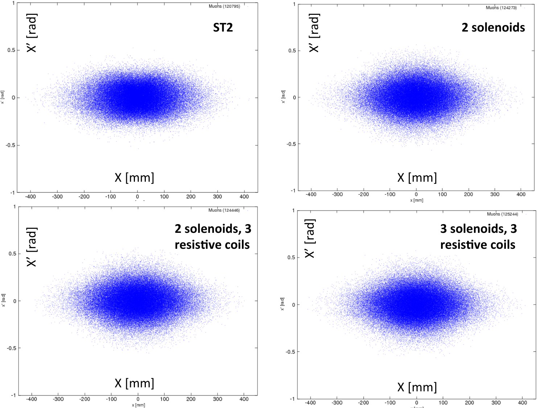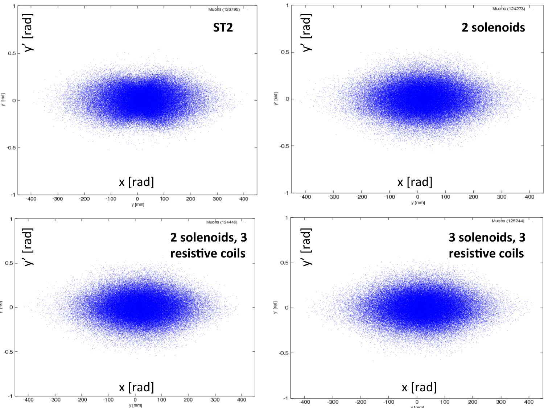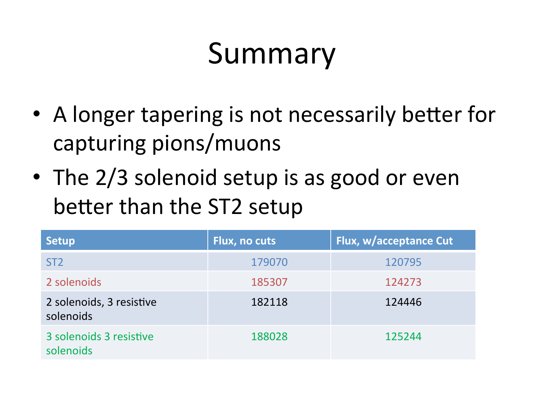## Summary

- A longer tapering is not necessarily better for capturing pions/muons
- The  $2/3$  solenoid setup is as good or even better than the ST2 setup

| <b>Setup</b>                          | Flux, no cuts | Flux, w/acceptance Cut |
|---------------------------------------|---------------|------------------------|
| ST <sub>2</sub>                       | 179070        | 120795                 |
| 2 solenoids                           | 185307        | 124273                 |
| 2 solenoids, 3 resistive<br>solenoids | 182118        | 124446                 |
| 3 solenoids 3 resistive<br>solenoids  | 188028        | 125244                 |